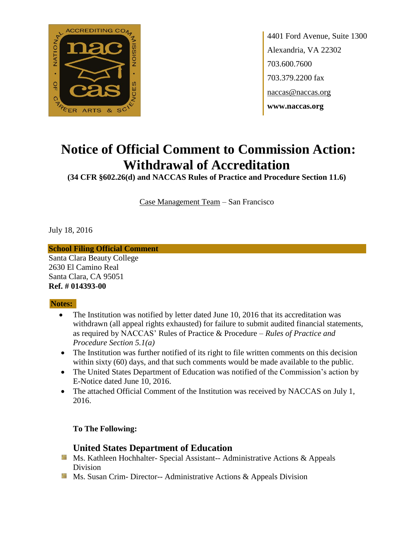

4401 Ford Avenue, Suite 1300 Alexandria, VA 22302 703.600.7600 703.379.2200 fax naccas@naccas.org **www.naccas.org**

# **Notice of Official Comment to Commission Action: Withdrawal of Accreditation**

**(34 CFR §602.26(d) and NACCAS Rules of Practice and Procedure Section 11.6)**

Case Management Team – San Francisco

July 18, 2016

#### **School Filing Official Comment**

Santa Clara Beauty College 2630 El Camino Real Santa Clara, CA 95051 **Ref. # 014393-00**

### **Notes:**

- The Institution was notified by letter dated June 10, 2016 that its accreditation was withdrawn (all appeal rights exhausted) for failure to submit audited financial statements, as required by NACCAS' Rules of Practice & Procedure – *Rules of Practice and Procedure Section 5.1(a)*
- The Institution was further notified of its right to file written comments on this decision within sixty (60) days, and that such comments would be made available to the public.
- The United States Department of Education was notified of the Commission's action by E-Notice dated June 10, 2016.
- The attached Official Comment of the Institution was received by NACCAS on July 1, 2016.

### **To The Following:**

## **United States Department of Education**

- **Ms. Kathleen Hochhalter- Special Assistant-- Administrative Actions & Appeals** Division
- **Ms.** Susan Crim-Director-- Administrative Actions  $\&$  Appeals Division